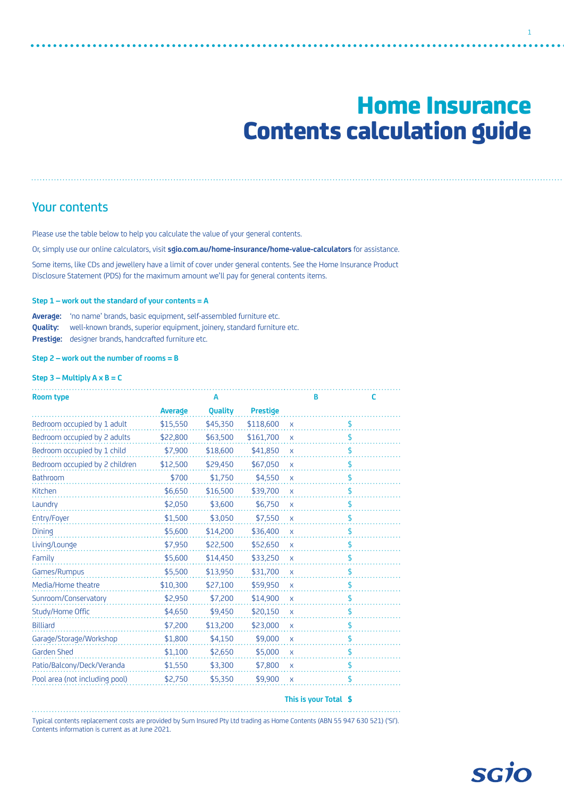# Home Insurance Contents calculation guide

1

## Your contents

Please use the table below to help you calculate the value of your general contents.

Or, simply use our online calculators, visit **[sgio.com.au/home-insurance/home-value-calculators](http://sgio.com.au/home-insurance/home-value-calculators)** for assistance.

Some items, like CDs and jewellery have a limit of cover under general contents. See the Home Insurance Product Disclosure Statement (PDS) for the maximum amount we'll pay for general contents items.

#### **Step 1 – work out the standard of your contents = A**

**Average:** 'no name' brands, basic equipment, self-assembled furniture etc. **Quality:** well-known brands, superior equipment, joinery, standard furniture etc. **Prestige:** designer brands, handcrafted furniture etc.

**Step 2 – work out the number of rooms = B**

### **Step 3 – Multiply A x B = C**

| <b>Room type</b>               |          | A        |                 |              | в | c                               |
|--------------------------------|----------|----------|-----------------|--------------|---|---------------------------------|
|                                | Average  | Quality  | <b>Prestige</b> |              |   |                                 |
| Bedroom occupied by 1 adult    | \$15,550 | \$45,350 | \$118,600       | $\mathsf{X}$ |   | \$                              |
| Bedroom occupied by 2 adults   | \$22,800 | \$63,500 | \$161,700       | $\mathsf{X}$ |   | \$                              |
| Bedroom occupied by 1 child    | \$7,900  | \$18,600 | \$41,850        | $\mathsf{X}$ |   | \$                              |
| Bedroom occupied by 2 children | \$12,500 | \$29,450 | \$67,050        | $\mathsf{X}$ |   | \$                              |
| <b>Bathroom</b>                | \$700    | \$1,750  | \$4,550         | $\mathsf{X}$ |   | \$                              |
| Kitchen                        | \$6,650  | \$16,500 | \$39,700        | X            |   | \$                              |
| Laundry                        | \$2,050  | \$3,600  | \$6,750         | X            |   | \$                              |
| Entry/Foyer                    | \$1,500  | \$3,050  | \$7,550         | $\mathsf{X}$ |   | \$                              |
| Dining                         | \$5,600  | \$14,200 | \$36,400        | X            |   | \$                              |
| Living/Lounge                  | \$7,950  | \$22,500 | \$52,650        | $\mathsf{X}$ |   | \$                              |
| Family                         | \$5,600  | \$14,450 | \$33,250        | $\mathsf{X}$ |   | \$                              |
| Games/Rumpus                   | \$5,500  | \$13,950 | \$31,700        | X            |   | \$                              |
| Media/Home theatre             | \$10,300 | \$27,100 | \$59,950        | $\mathsf{X}$ |   | \$                              |
| Sunroom/Conservatory           | \$2,950  | \$7,200  | \$14,900        | $\mathsf{X}$ |   | $\boldsymbol{\hat{\mathsf{z}}}$ |
| Study/Home Offic               | \$4,650  | \$9,450  | \$20,150        | X            |   | \$                              |
| <b>Billiard</b>                | \$7,200  | \$13,200 | \$23,000        | $\mathsf{X}$ |   | \$                              |
| Garage/Storage/Workshop        | \$1,800  | \$4,150  | \$9,000         | $\mathsf{x}$ |   | \$                              |
| Garden Shed                    | \$1,100  | \$2,650  | \$5,000         | X            |   | \$                              |
| Patio/Balcony/Deck/Veranda     | \$1,550  | \$3,300  | \$7,800         | $\mathsf{X}$ |   | \$                              |
| Pool area (not including pool) | \$2,750  | \$5,350  | \$9,900         | $\mathsf{x}$ |   | \$                              |

#### **This is your Total \$**

Typical contents replacement costs are provided by Sum Insured Pty Ltd trading as Home Contents (ABN 55 947 630 521) ('SI'). Contents information is current as at June 2021.